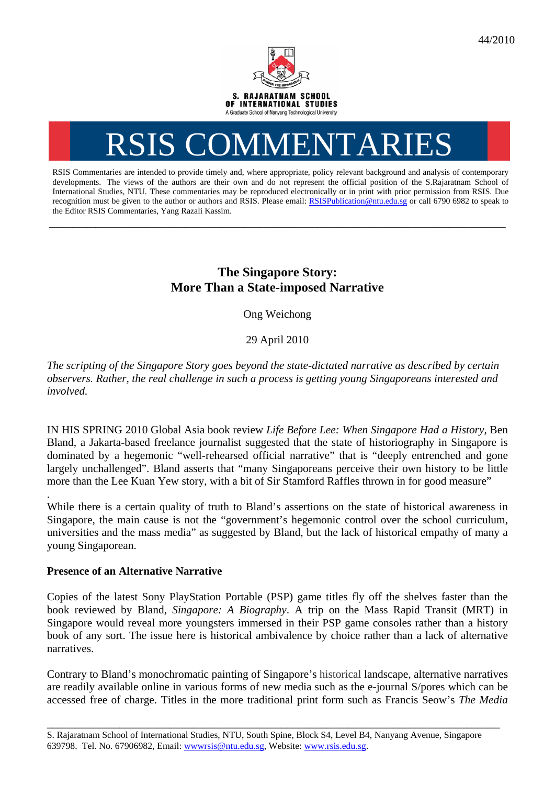

# RSIS COMMENTARIES

RSIS Commentaries are intended to provide timely and, where appropriate, policy relevant background and analysis of contemporary developments. The views of the authors are their own and do not represent the official position of the S.Rajaratnam School of International Studies, NTU. These commentaries may be reproduced electronically or in print with prior permission from RSIS. Due recognition must be given to the author or authors and RSIS. Please email: RSISPublication@ntu.edu.sg or call 6790 6982 to speak to the Editor RSIS Commentaries, Yang Razali Kassim.

**\_\_\_\_\_\_\_\_\_\_\_\_\_\_\_\_\_\_\_\_\_\_\_\_\_\_\_\_\_\_\_\_\_\_\_\_\_\_\_\_\_\_\_\_\_\_\_\_\_\_\_\_\_\_\_\_\_\_\_\_\_\_\_\_\_\_\_\_\_\_\_\_\_\_\_\_\_\_\_\_\_\_\_\_\_\_\_\_\_\_\_\_\_\_\_\_\_\_** 

# **The Singapore Story: More Than a State-imposed Narrative**

Ong Weichong

29 April 2010

*The scripting of the Singapore Story goes beyond the state-dictated narrative as described by certain observers. Rather, the real challenge in such a process is getting young Singaporeans interested and involved.* 

IN HIS SPRING 2010 Global Asia book review *Life Before Lee: When Singapore Had a History*, Ben Bland, a Jakarta-based freelance journalist suggested that the state of historiography in Singapore is dominated by a hegemonic "well-rehearsed official narrative" that is "deeply entrenched and gone largely unchallenged". Bland asserts that "many Singaporeans perceive their own history to be little more than the Lee Kuan Yew story, with a bit of Sir Stamford Raffles thrown in for good measure"

While there is a certain quality of truth to Bland's assertions on the state of historical awareness in Singapore, the main cause is not the "government's hegemonic control over the school curriculum, universities and the mass media" as suggested by Bland, but the lack of historical empathy of many a young Singaporean.

## **Presence of an Alternative Narrative**

.

Copies of the latest Sony PlayStation Portable (PSP) game titles fly off the shelves faster than the book reviewed by Bland, *Singapore: A Biography*. A trip on the Mass Rapid Transit (MRT) in Singapore would reveal more youngsters immersed in their PSP game consoles rather than a history book of any sort. The issue here is historical ambivalence by choice rather than a lack of alternative narratives.

Contrary to Bland's monochromatic painting of Singapore's historical landscape, alternative narratives are readily available online in various forms of new media such as the e-journal S/pores which can be accessed free of charge. Titles in the more traditional print form such as Francis Seow's *The Media* 

\_\_\_\_\_\_\_\_\_\_\_\_\_\_\_\_\_\_\_\_\_\_\_\_\_\_\_\_\_\_\_\_\_\_\_\_\_\_\_\_\_\_\_\_\_\_\_\_\_\_\_\_\_\_\_\_\_\_\_\_\_\_\_\_\_\_\_\_\_\_\_\_\_\_\_\_\_\_\_\_\_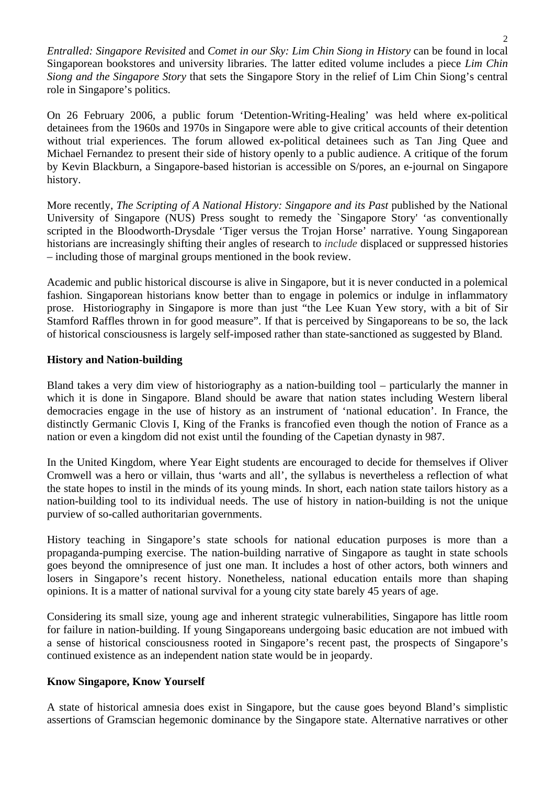*Entralled: Singapore Revisited* and *Comet in our Sky: Lim Chin Siong in History* can be found in local Singaporean bookstores and university libraries. The latter edited volume includes a piece *Lim Chin Siong and the Singapore Story* that sets the Singapore Story in the relief of Lim Chin Siong's central role in Singapore's politics.

On 26 February 2006, a public forum 'Detention-Writing-Healing' was held where ex-political detainees from the 1960s and 1970s in Singapore were able to give critical accounts of their detention without trial experiences. The forum allowed ex-political detainees such as Tan Jing Quee and Michael Fernandez to present their side of history openly to a public audience. A critique of the forum by Kevin Blackburn, a Singapore-based historian is accessible on S/pores, an e-journal on Singapore history.

More recently, *The Scripting of A National History: Singapore and its Past* published by the National University of Singapore (NUS) Press sought to remedy the `Singapore Story' 'as conventionally scripted in the Bloodworth-Drysdale 'Tiger versus the Trojan Horse' narrative. Young Singaporean historians are increasingly shifting their angles of research to *include* displaced or suppressed histories – including those of marginal groups mentioned in the book review.

Academic and public historical discourse is alive in Singapore, but it is never conducted in a polemical fashion. Singaporean historians know better than to engage in polemics or indulge in inflammatory prose. Historiography in Singapore is more than just "the Lee Kuan Yew story, with a bit of Sir Stamford Raffles thrown in for good measure". If that is perceived by Singaporeans to be so, the lack of historical consciousness is largely self-imposed rather than state-sanctioned as suggested by Bland.

### **History and Nation-building**

Bland takes a very dim view of historiography as a nation-building tool – particularly the manner in which it is done in Singapore. Bland should be aware that nation states including Western liberal democracies engage in the use of history as an instrument of 'national education'. In France, the distinctly Germanic Clovis I, King of the Franks is francofied even though the notion of France as a nation or even a kingdom did not exist until the founding of the Capetian dynasty in 987.

In the United Kingdom, where Year Eight students are encouraged to decide for themselves if Oliver Cromwell was a hero or villain, thus 'warts and all', the syllabus is nevertheless a reflection of what the state hopes to instil in the minds of its young minds. In short, each nation state tailors history as a nation-building tool to its individual needs. The use of history in nation-building is not the unique purview of so-called authoritarian governments.

History teaching in Singapore's state schools for national education purposes is more than a propaganda-pumping exercise. The nation-building narrative of Singapore as taught in state schools goes beyond the omnipresence of just one man. It includes a host of other actors, both winners and losers in Singapore's recent history. Nonetheless, national education entails more than shaping opinions. It is a matter of national survival for a young city state barely 45 years of age.

Considering its small size, young age and inherent strategic vulnerabilities, Singapore has little room for failure in nation-building. If young Singaporeans undergoing basic education are not imbued with a sense of historical consciousness rooted in Singapore's recent past, the prospects of Singapore's continued existence as an independent nation state would be in jeopardy.

#### **Know Singapore, Know Yourself**

A state of historical amnesia does exist in Singapore, but the cause goes beyond Bland's simplistic assertions of Gramscian hegemonic dominance by the Singapore state. Alternative narratives or other